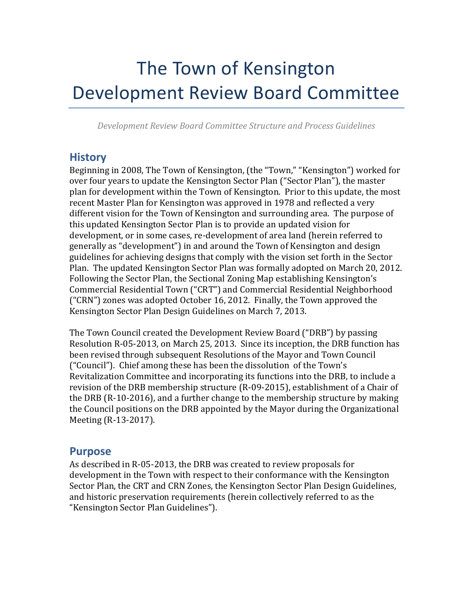# The Town of Kensington Development Review Board Committee

*Development Review Board Committee Structure and Process Guidelines*

#### **History**

Beginning in 2008, The Town of Kensington, (the "Town," "Kensington") worked for over four years to update the Kensington Sector Plan ("Sector Plan"), the master plan for development within the Town of Kensington. Prior to this update, the most recent Master Plan for Kensington was approved in 1978 and reflected a very different vision for the Town of Kensington and surrounding area. The purpose of this updated Kensington Sector Plan is to provide an updated vision for development, or in some cases, re-development of area land (herein referred to generally as "development") in and around the Town of Kensington and design guidelines for achieving designs that comply with the vision set forth in the Sector Plan. The updated Kensington Sector Plan was formally adopted on March 20, 2012. Following the Sector Plan, the Sectional Zoning Map establishing Kensington's Commercial Residential Town ("CRT") and Commercial Residential Neighborhood ("CRN") zones was adopted October 16, 2012. Finally, the Town approved the Kensington Sector Plan Design Guidelines on March 7, 2013.

The Town Council created the Development Review Board ("DRB") by passing Resolution R-05-2013, on March 25, 2013. Since its inception, the DRB function has been revised through subsequent Resolutions of the Mayor and Town Council ("Council"). Chief among these has been the dissolution of the Town's Revitalization Committee and incorporating its functions into the DRB, to include a revision of the DRB membership structure (R-09-2015), establishment of a Chair of the DRB (R-10-2016), and a further change to the membership structure by making the Council positions on the DRB appointed by the Mayor during the Organizational Meeting (R-13-2017).

#### **Purpose**

As described in R-05-2013, the DRB was created to review proposals for development in the Town with respect to their conformance with the Kensington Sector Plan, the CRT and CRN Zones, the Kensington Sector Plan Design Guidelines, and historic preservation requirements (herein collectively referred to as the "Kensington Sector Plan Guidelines").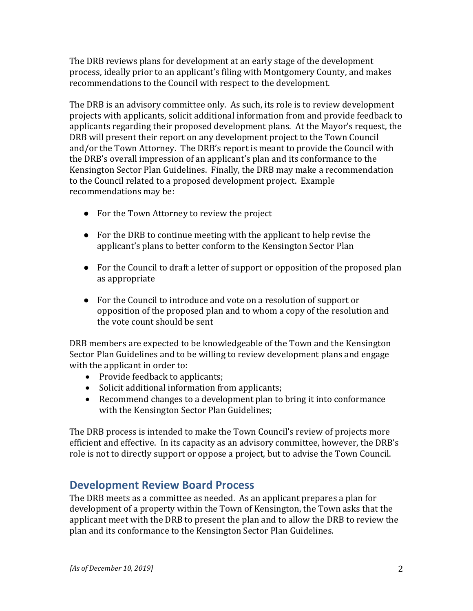The DRB reviews plans for development at an early stage of the development process, ideally prior to an applicant's filing with Montgomery County, and makes recommendations to the Council with respect to the development.

The DRB is an advisory committee only. As such, its role is to review development projects with applicants, solicit additional information from and provide feedback to applicants regarding their proposed development plans. At the Mayor's request, the DRB will present their report on any development project to the Town Council and/or the Town Attorney. The DRB's report is meant to provide the Council with the DRB's overall impression of an applicant's plan and its conformance to the Kensington Sector Plan Guidelines. Finally, the DRB may make a recommendation to the Council related to a proposed development project. Example recommendations may be:

- For the Town Attorney to review the project
- For the DRB to continue meeting with the applicant to help revise the applicant's plans to better conform to the Kensington Sector Plan
- For the Council to draft a letter of support or opposition of the proposed plan as appropriate
- For the Council to introduce and vote on a resolution of support or opposition of the proposed plan and to whom a copy of the resolution and the vote count should be sent

DRB members are expected to be knowledgeable of the Town and the Kensington Sector Plan Guidelines and to be willing to review development plans and engage with the applicant in order to:

- Provide feedback to applicants;
- Solicit additional information from applicants;
- Recommend changes to a development plan to bring it into conformance with the Kensington Sector Plan Guidelines;

The DRB process is intended to make the Town Council's review of projects more efficient and effective. In its capacity as an advisory committee, however, the DRB's role is not to directly support or oppose a project, but to advise the Town Council.

## **Development Review Board Process**

The DRB meets as a committee as needed. As an applicant prepares a plan for development of a property within the Town of Kensington, the Town asks that the applicant meet with the DRB to present the plan and to allow the DRB to review the plan and its conformance to the Kensington Sector Plan Guidelines.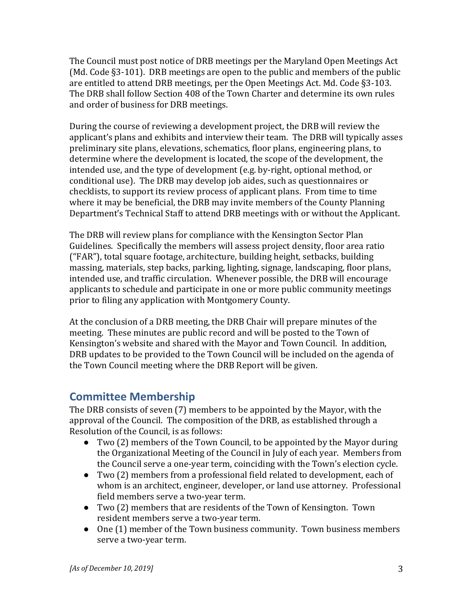The Council must post notice of DRB meetings per the Maryland Open Meetings Act (Md. Code §3-101). DRB meetings are open to the public and members of the public are entitled to attend DRB meetings, per the Open Meetings Act. Md. Code §3-103. The DRB shall follow Section 408 of the Town Charter and determine its own rules and order of business for DRB meetings.

During the course of reviewing a development project, the DRB will review the applicant's plans and exhibits and interview their team. The DRB will typically asses preliminary site plans, elevations, schematics, floor plans, engineering plans, to determine where the development is located, the scope of the development, the intended use, and the type of development (e.g. by-right, optional method, or conditional use). The DRB may develop job aides, such as questionnaires or checklists, to support its review process of applicant plans. From time to time where it may be beneficial, the DRB may invite members of the County Planning Department's Technical Staff to attend DRB meetings with or without the Applicant.

The DRB will review plans for compliance with the Kensington Sector Plan Guidelines. Specifically the members will assess project density, floor area ratio ("FAR"), total square footage, architecture, building height, setbacks, building massing, materials, step backs, parking, lighting, signage, landscaping, floor plans, intended use, and traffic circulation. Whenever possible, the DRB will encourage applicants to schedule and participate in one or more public community meetings prior to filing any application with Montgomery County.

At the conclusion of a DRB meeting, the DRB Chair will prepare minutes of the meeting. These minutes are public record and will be posted to the Town of Kensington's website and shared with the Mayor and Town Council. In addition, DRB updates to be provided to the Town Council will be included on the agenda of the Town Council meeting where the DRB Report will be given.

## **Committee Membership**

The DRB consists of seven (7) members to be appointed by the Mayor, with the approval of the Council. The composition of the DRB, as established through a Resolution of the Council, is as follows:

- Two (2) members of the Town Council, to be appointed by the Mayor during the Organizational Meeting of the Council in July of each year. Members from the Council serve a one-year term, coinciding with the Town's election cycle.
- Two (2) members from a professional field related to development, each of whom is an architect, engineer, developer, or land use attorney. Professional field members serve a two-year term.
- Two (2) members that are residents of the Town of Kensington. Town resident members serve a two-year term.
- One (1) member of the Town business community. Town business members serve a two-year term.